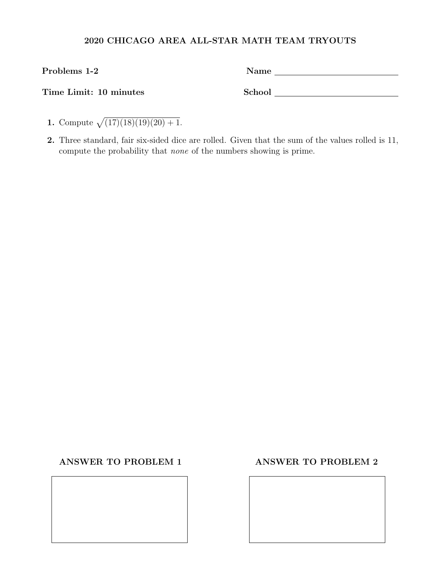| Problems 1-2           | Name   |
|------------------------|--------|
| Time Limit: 10 minutes | School |

- 1. Compute  $\sqrt{(17)(18)(19)(20) + 1}$ .
- 2. Three standard, fair six-sided dice are rolled. Given that the sum of the values rolled is 11, compute the probability that none of the numbers showing is prime.

## ANSWER TO PROBLEM 1 ANSWER TO PROBLEM 2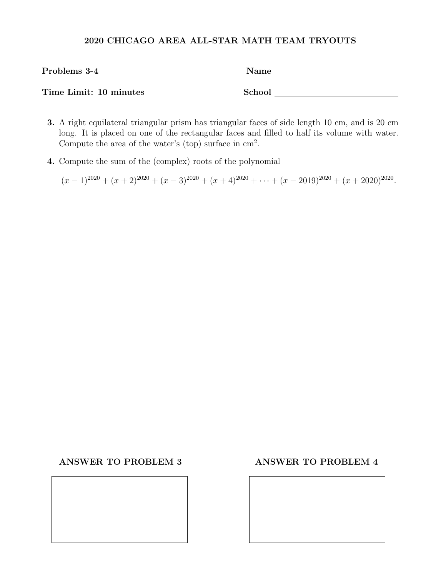| Problems 3-4           | Name   |
|------------------------|--------|
|                        |        |
| Time Limit: 10 minutes | School |

- 3. A right equilateral triangular prism has triangular faces of side length 10 cm, and is 20 cm long. It is placed on one of the rectangular faces and filled to half its volume with water. Compute the area of the water's (top) surface in  $\text{cm}^2$ .
- 4. Compute the sum of the (complex) roots of the polynomial

 $(x-1)^{2020} + (x+2)^{2020} + (x-3)^{2020} + (x+4)^{2020} + \cdots + (x-2019)^{2020} + (x+2020)^{2020}.$ 

### ANSWER TO PROBLEM 3 ANSWER TO PROBLEM 4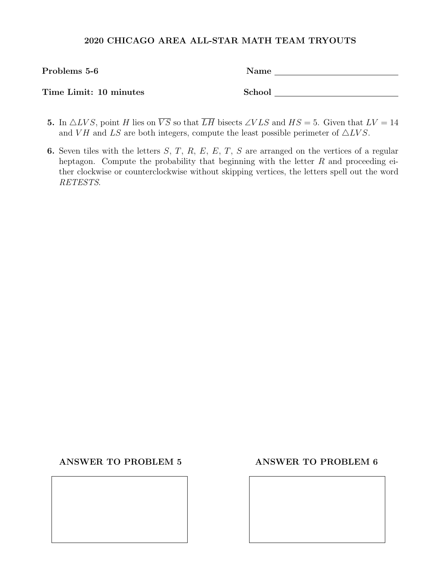| Problems 5-6           | Name   |
|------------------------|--------|
| Time Limit: 10 minutes | School |

- 5. In  $\triangle LVS$ , point H lies on  $\overline{VS}$  so that  $\overline{LH}$  bisects ∠VLS and  $HS = 5$ . Given that  $LV = 14$ and VH and LS are both integers, compute the least possible perimeter of  $\triangle LVS$ .
- 6. Seven tiles with the letters  $S, T, R, E, E, T, S$  are arranged on the vertices of a regular heptagon. Compute the probability that beginning with the letter  $R$  and proceeding either clockwise or counterclockwise without skipping vertices, the letters spell out the word RETESTS.

### ANSWER TO PROBLEM 5 ANSWER TO PROBLEM 6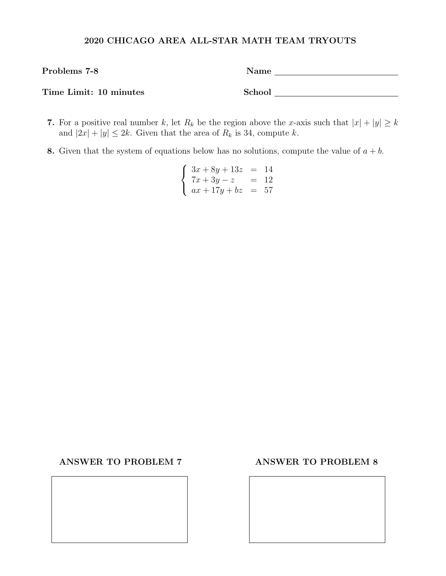| Problems 7-8           | Name   |
|------------------------|--------|
| Time Limit: 10 minutes | School |

- 7. For a positive real number k, let  $R_k$  be the region above the x-axis such that  $|x| + |y| \ge k$ and  $|2x| + |y| \leq 2k$ . Given that the area of  $R_k$  is 34, compute k.
- 8. Given that the system of equations below has no solutions, compute the value of  $a + b$ .

$$
\begin{cases}\n3x + 8y + 13z &= 14 \\
7x + 3y - z &= 12 \\
ax + 17y + bz &= 57\n\end{cases}
$$

ANSWER TO PROBLEM 7 ANSWER TO PROBLEM 8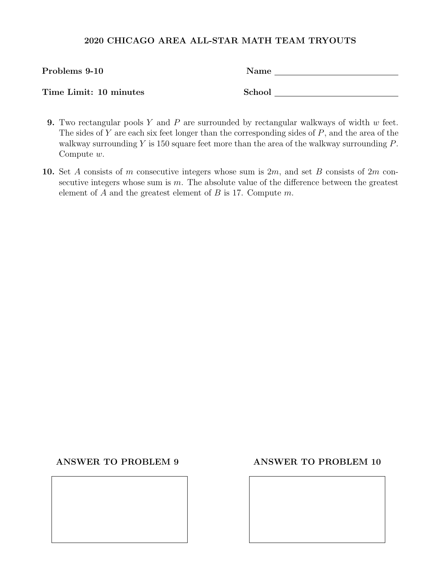| Problems 9-10          | Name   |
|------------------------|--------|
| Time Limit: 10 minutes | School |

- **9.** Two rectangular pools Y and P are surrounded by rectangular walkways of width  $w$  feet. The sides of  $Y$  are each six feet longer than the corresponding sides of  $P$ , and the area of the walkway surrounding  $Y$  is 150 square feet more than the area of the walkway surrounding  $P$ . Compute w.
- 10. Set A consists of m consecutive integers whose sum is  $2m$ , and set B consists of  $2m$  consecutive integers whose sum is  $m$ . The absolute value of the difference between the greatest element of  $A$  and the greatest element of  $B$  is 17. Compute  $m$ .

### ANSWER TO PROBLEM 9 ANSWER TO PROBLEM 10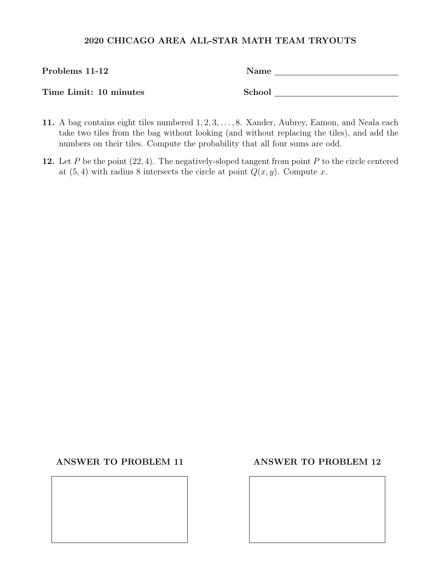| Problems 11-12         | Name   |
|------------------------|--------|
| Time Limit: 10 minutes | School |

- 11. A bag contains eight tiles numbered 1, 2, 3, . . . , 8. Xander, Aubrey, Eamon, and Neala each take two tiles from the bag without looking (and without replacing the tiles), and add the numbers on their tiles. Compute the probability that all four sums are odd.
- 12. Let P be the point  $(22, 4)$ . The negatively-sloped tangent from point P to the circle centered at  $(5, 4)$  with radius 8 intersects the circle at point  $Q(x, y)$ . Compute x.

### ANSWER TO PROBLEM 11 ANSWER TO PROBLEM 12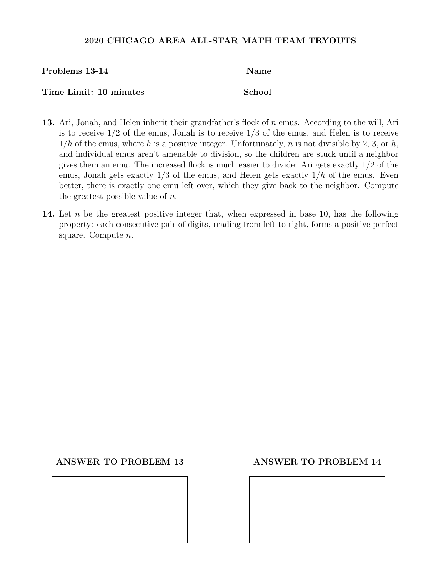| Problems 13-14         | Name   |
|------------------------|--------|
| Time Limit: 10 minutes | School |

- 13. Ari, Jonah, and Helen inherit their grandfather's flock of n emus. According to the will, Ari is to receive  $1/2$  of the emus, Jonah is to receive  $1/3$  of the emus, and Helen is to receive  $1/h$  of the emus, where h is a positive integer. Unfortunately, n is not divisible by 2, 3, or h, and individual emus aren't amenable to division, so the children are stuck until a neighbor gives them an emu. The increased flock is much easier to divide: Ari gets exactly 1/2 of the emus, Jonah gets exactly  $1/3$  of the emus, and Helen gets exactly  $1/h$  of the emus. Even better, there is exactly one emu left over, which they give back to the neighbor. Compute the greatest possible value of  $n$ .
- 14. Let n be the greatest positive integer that, when expressed in base 10, has the following property: each consecutive pair of digits, reading from left to right, forms a positive perfect square. Compute n.

### ANSWER TO PROBLEM 13 ANSWER TO PROBLEM 14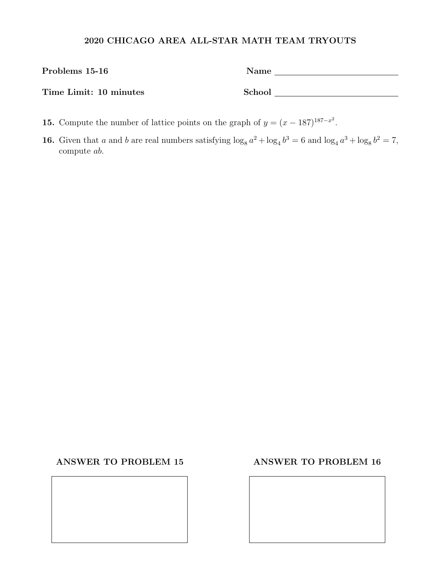| Problems 15-16         | Name   |
|------------------------|--------|
| Time Limit: 10 minutes | School |

- **15.** Compute the number of lattice points on the graph of  $y = (x 187)^{187-x^2}$ .
- **16.** Given that a and b are real numbers satisfying  $\log_8 a^2 + \log_4 b^3 = 6$  and  $\log_4 a^3 + \log_8 b^2 = 7$ , compute ab.

## ANSWER TO PROBLEM 15 ANSWER TO PROBLEM 16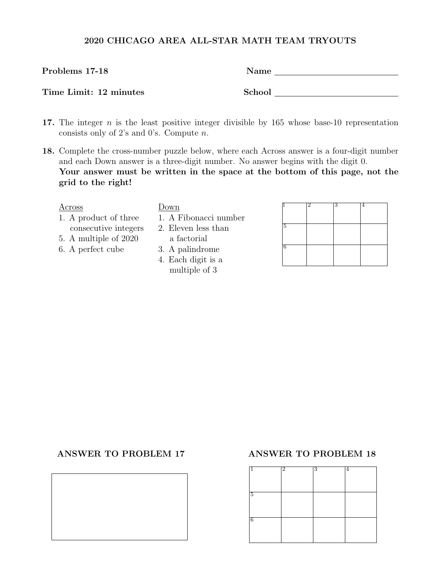| Problems 17-18         | $\mathbf{Name}$ |
|------------------------|-----------------|
| Time Limit: 12 minutes | School          |

- 17. The integer  $n$  is the least positive integer divisible by 165 whose base-10 representation consists only of 2's and 0's. Compute  $n$ .
- 18. Complete the cross-number puzzle below, where each Across answer is a four-digit number and each Down answer is a three-digit number. No answer begins with the digit 0. Your answer must be written in the space at the bottom of this page, not the grid to the right!

- 1. A product of three 1. A Fibonacci number consecutive integers 2. Eleven less than
- 5. A multiple of 2020 a factorial
- 6. A perfect cube 3. A palindrome
- - 4. Each digit is a multiple of 3

| Across                | Down                  |  |  |
|-----------------------|-----------------------|--|--|
| 1. A product of three | 1. A Fibonacci number |  |  |
| consecutive integers  | 2. Eleven less than   |  |  |
| 5. A multiple of 2020 | a factorial           |  |  |
| 6. A perfect cube     | 3. A palindrome       |  |  |
|                       | 4. Each digit is a    |  |  |

### ANSWER TO PROBLEM 17 ANSWER TO PROBLEM 18

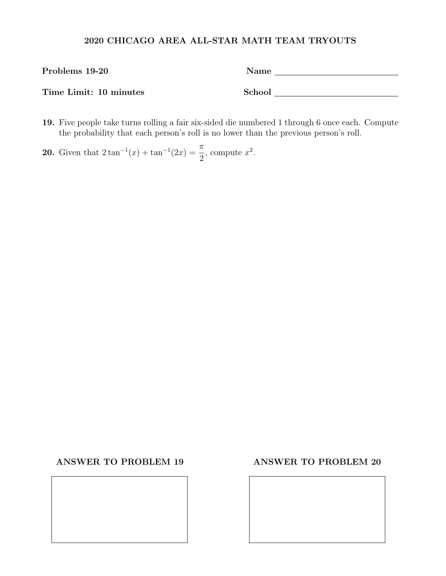| Problems 19-20         | Name   |
|------------------------|--------|
| Time Limit: 10 minutes | School |

- 19. Five people take turns rolling a fair six-sided die numbered 1 through 6 once each. Compute the probability that each person's roll is no lower than the previous person's roll.
- **20.** Given that  $2 \tan^{-1}(x) + \tan^{-1}(2x) = \frac{\pi}{2}$ 2 , compute  $x^2$ .

### ANSWER TO PROBLEM 19 ANSWER TO PROBLEM 20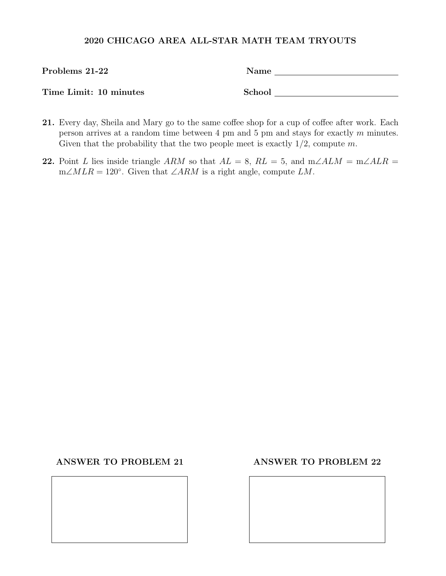| Problems 21-22         | $\mathbf{Name}$ |
|------------------------|-----------------|
| Time Limit: 10 minutes | School          |

- 21. Every day, Sheila and Mary go to the same coffee shop for a cup of coffee after work. Each person arrives at a random time between 4 pm and 5 pm and stays for exactly m minutes. Given that the probability that the two people meet is exactly  $1/2$ , compute m.
- 22. Point L lies inside triangle ARM so that  $AL = 8$ ,  $RL = 5$ , and  $m\angle ALM = m\angle ALR =$  $m\angle MLR = 120^\circ$ . Given that  $\angle ARM$  is a right angle, compute LM.

ANSWER TO PROBLEM 21 ANSWER TO PROBLEM 22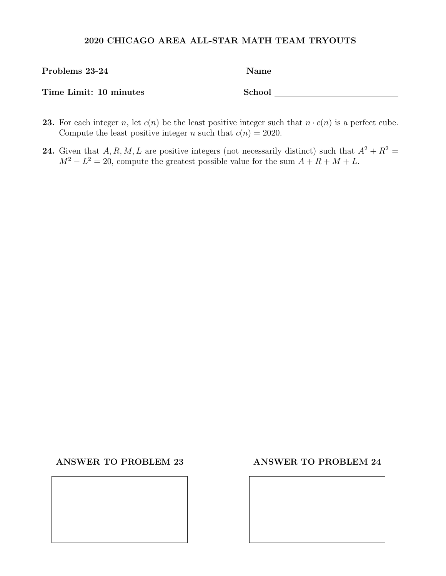| Problems 23-24         | Name   |
|------------------------|--------|
| Time Limit: 10 minutes | School |

- 23. For each integer n, let  $c(n)$  be the least positive integer such that  $n \cdot c(n)$  is a perfect cube. Compute the least positive integer *n* such that  $c(n) = 2020$ .
- 24. Given that A, R, M, L are positive integers (not necessarily distinct) such that  $A^2 + R^2 =$  $M^2 - L^2 = 20$ , compute the greatest possible value for the sum  $A + R + M + L$ .

### ANSWER TO PROBLEM 23 ANSWER TO PROBLEM 24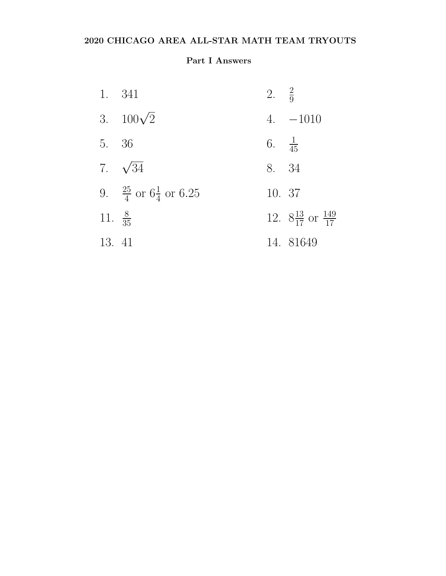# Part I Answers

|                    | 1. 341                                      | 2. $\frac{2}{9}$  |                                          |
|--------------------|---------------------------------------------|-------------------|------------------------------------------|
|                    | 3. $100\sqrt{2}$                            |                   | 4. $-1010$                               |
| 5. 36              |                                             | 6. $\frac{1}{45}$ |                                          |
|                    | 7. $\sqrt{34}$                              | 8. 34             |                                          |
|                    | 9. $\frac{25}{4}$ or $6\frac{1}{4}$ or 6.25 | 10. 37            |                                          |
| 11. $\frac{8}{35}$ |                                             |                   | 12. $8\frac{13}{17}$ or $\frac{149}{17}$ |
| 13. 41             |                                             |                   | 14. 81649                                |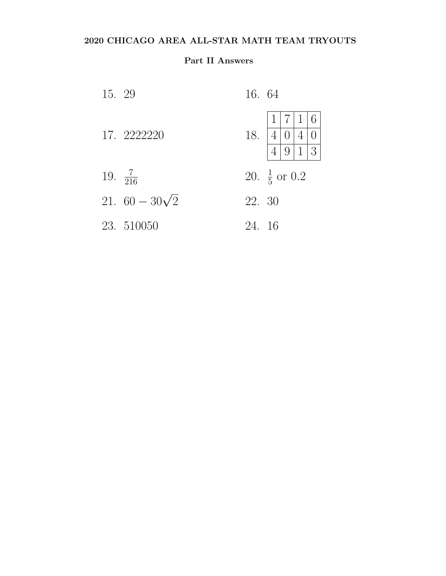# Part II Answers

| 15. 29              |                       | 16. 64                   |                |                        |                                                |                          |
|---------------------|-----------------------|--------------------------|----------------|------------------------|------------------------------------------------|--------------------------|
|                     | 17. 2222220           | 18. $ \bar{4} 0 $        | $\overline{4}$ | 1 7 <br>$\overline{9}$ | $\mathbf{1}$<br>$\overline{4}$<br>$\mathbf{1}$ | 6<br>$\overline{0}$<br>3 |
| 19. $\frac{7}{216}$ |                       | 20. $\frac{1}{5}$ or 0.2 |                |                        |                                                |                          |
|                     | 21. $60 - 30\sqrt{2}$ | 22. 30                   |                |                        |                                                |                          |
|                     | 23. 510050            | 24. 16                   |                |                        |                                                |                          |